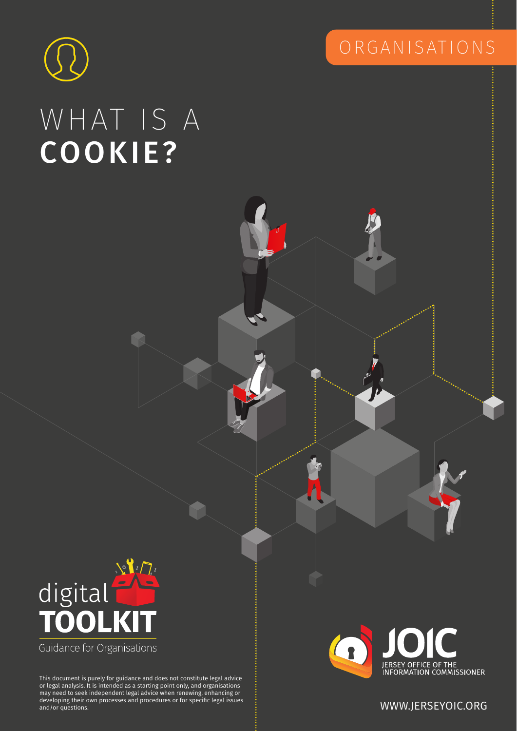

# WHAT IS A COOKIE?





may need to seek independent legal advice when renewing, enhancing or<br>developing their own processes and procedures or for specific legal issues This document is purely for guidance and does not constitute legal advice or legal analysis. It is intended as a starting point only, and organisations developing their own processes and procedures or for specific legal issues and/or questions. WWW.JERSEYOIC.ORG

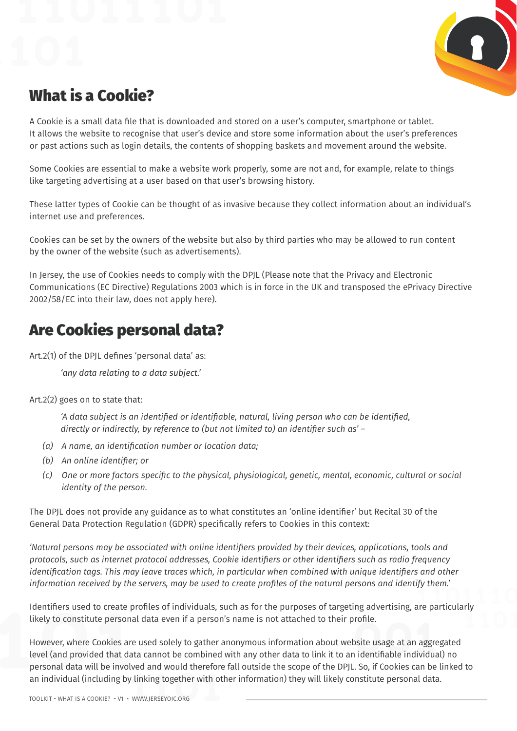

## What is a Cookie?

A Cookie is a small data file that is downloaded and stored on a user's computer, smartphone or tablet. It allows the website to recognise that user's device and store some information about the user's preferences or past actions such as login details, the contents of shopping baskets and movement around the website.

Some Cookies are essential to make a website work properly, some are not and, for example, relate to things like targeting advertising at a user based on that user's browsing history.

These latter types of Cookie can be thought of as invasive because they collect information about an individual's internet use and preferences.

Cookies can be set by the owners of the website but also by third parties who may be allowed to run content by the owner of the website (such as advertisements).

In Jersey, the use of Cookies needs to comply with the DPJL (Please note that the Privacy and Electronic Communications (EC Directive) Regulations 2003 which is in force in the UK and transposed the ePrivacy Directive 2002/58/EC into their law, does not apply here).

#### Are Cookies personal data?

Art.2(1) of the DPJL defines 'personal data' as:

*'any data relating to a data subject.'*

Art.2(2) goes on to state that:

*'A data subject is an identified or identifiable, natural, living person who can be identified, directly or indirectly, by reference to (but not limited to) an identifier such as' –*

- *(a) A name, an identification number or location data;*
- *(b) An online identifier; or*
- *(c) One or more factors specific to the physical, physiological, genetic, mental, economic, cultural or social identity of the person.*

The DPJL does not provide any guidance as to what constitutes an 'online identifier' but Recital 30 of the General Data Protection Regulation (GDPR) specifically refers to Cookies in this context:

*'Natural persons may be associated with online identifiers provided by their devices, applications, tools and protocols, such as internet protocol addresses, Cookie identifiers or other identifiers such as radio frequency identification tags. This may leave traces which, in particular when combined with unique identifiers and other information received by the servers, may be used to create profiles of the natural persons and identify them.'*

Identifiers used to create profiles of individuals, such as for the purposes of targeting advertising, are particularly likely to constitute personal data even if a person's name is not attached to their profile.

However, where Cookies are used solely to gather anonymous information about website usage at an aggregated level (and provided that data cannot be combined with any other data to link it to an identifiable individual) no personal data will be involved and would therefore fall outside the scope of the DPJL. So, if Cookies can be linked to an individual (including by linking together with other information) they will likely constitute personal data.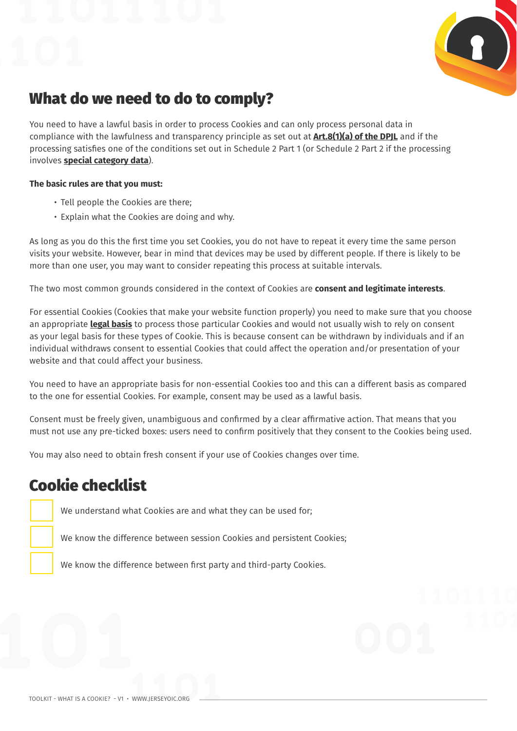

#### What do we need to do to comply?

You need to have a lawful basis in order to process Cookies and can only process personal data in compliance with the lawfulness and transparency principle as set out at **[Art.8\(1\)\(a\) of the DPJL](https://www.jerseylaw.je/laws/enacted/Pages/L-03-2018.aspx)** and if the processing satisfies one of the conditions set out in Schedule 2 Part 1 (or Schedule 2 Part 2 if the processing involves **[special category data](https://jerseyoic.org/media/n33dp1lz/11_tk_what-is-special-category-data-organisations.pdf)**).

#### **The basic rules are that you must:**

- Tell people the Cookies are there;
- Explain what the Cookies are doing and why.

As long as you do this the first time you set Cookies, you do not have to repeat it every time the same person visits your website. However, bear in mind that devices may be used by different people. If there is likely to be more than one user, you may want to consider repeating this process at suitable intervals.

The two most common grounds considered in the context of Cookies are **consent and legitimate interests**.

For essential Cookies (Cookies that make your website function properly) you need to make sure that you choose an appropriate **[legal basis](https://jerseyoic.org/media/iydpihym/52_tk_lawful-basis-of-processing.pdf)** to process those particular Cookies and would not usually wish to rely on consent as your legal basis for these types of Cookie. This is because consent can be withdrawn by individuals and if an individual withdraws consent to essential Cookies that could affect the operation and/or presentation of your website and that could affect your business.

You need to have an appropriate basis for non-essential Cookies too and this can a different basis as compared to the one for essential Cookies. For example, consent may be used as a lawful basis.

Consent must be freely given, unambiguous and confirmed by a clear affirmative action. That means that you must not use any pre-ticked boxes: users need to confirm positively that they consent to the Cookies being used.

You may also need to obtain fresh consent if your use of Cookies changes over time.

## Cookie checklist

We understand what Cookies are and what they can be used for;

We know the difference between session Cookies and persistent Cookies;

We know the difference between first party and third-party Cookies.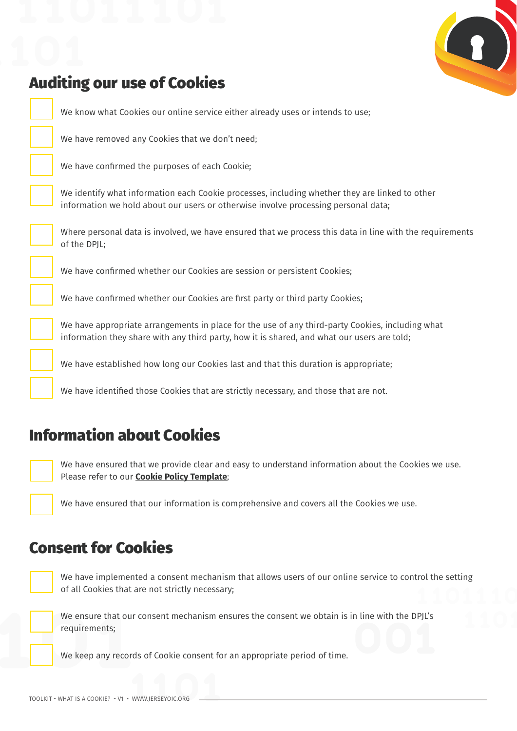

#### Auditing our use of Cookies

We know what Cookies our online service either already uses or intends to use;

We have removed any Cookies that we don't need;

We have confirmed the purposes of each Cookie;

We identify what information each Cookie processes, including whether they are linked to other information we hold about our users or otherwise involve processing personal data;

Where personal data is involved, we have ensured that we process this data in line with the requirements of the DPIL:

We have confirmed whether our Cookies are session or persistent Cookies;

We have confirmed whether our Cookies are first party or third party Cookies;

We have appropriate arrangements in place for the use of any third-party Cookies, including what information they share with any third party, how it is shared, and what our users are told;

We have established how long our Cookies last and that this duration is appropriate;

We have identified those Cookies that are strictly necessary, and those that are not.

#### Information about Cookies



We have ensured that we provide clear and easy to understand information about the Cookies we use. Please refer to our **[Cookie Policy Template](https://jerseyoic.org/media/tx1hkbu2/07_tk_cookie-policy-small-business-template_interactive.pdf)**;

We have ensured that our information is comprehensive and covers all the Cookies we use.

#### Consent for Cookies



We have implemented a consent mechanism that allows users of our online service to control the setting of all Cookies that are not strictly necessary;



We ensure that our consent mechanism ensures the consent we obtain is in line with the DPJL's requirements;

We keep any records of Cookie consent for an appropriate period of time.